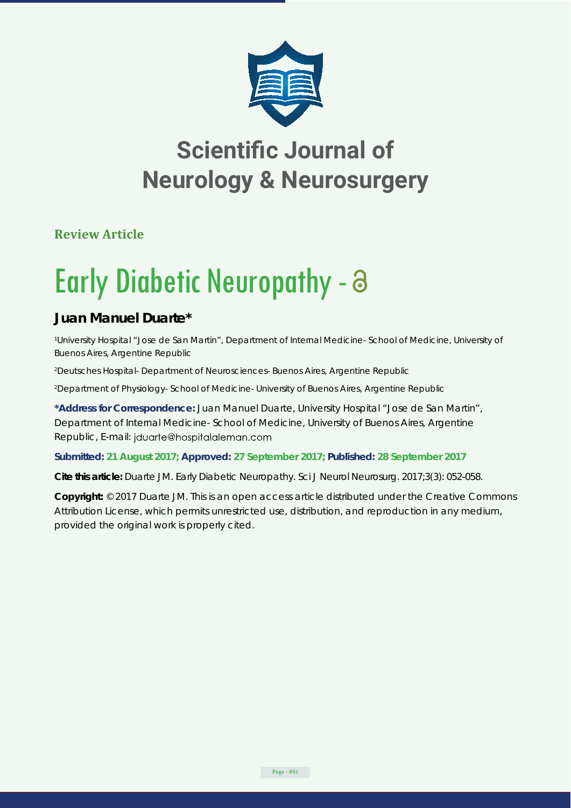

**Review Article**

# Early Diabetic Neuropathy -

### **Juan Manuel Duarte\***

*1 University Hospital "Jose de San Martin", Department of Internal Medicine- School of Medicine, University of Buenos Aires, Argentine Republic*

*2 Deutsches Hospital- Department of Neurosciences- Buenos Aires, Argentine Republic*

*2 Department of Physiology- School of Medicine- University of Buenos Aires, Argentine Republic*

**\*Address for Correspondence:** Juan Manuel Duarte, University Hospital "Jose de San Martin", Department of Internal Medicine- School of Medicine, University of Buenos Aires, Argentine Republic, E-mail: jduarte@hospitalaleman.com

#### **Submitted: 21 August 2017; Approved: 27 September 2017; Published: 28 September 2017**

**Cite this article:** Duarte JM. Early Diabetic Neuropathy. Sci J Neurol Neurosurg. 2017;3(3): 052-058.

**Copyright:** © 2017 Duarte JM. This is an open access article distributed under the Creative Commons Attribution License, which permits unrestricted use, distribution, and reproduction in any medium, provided the original work is properly cited.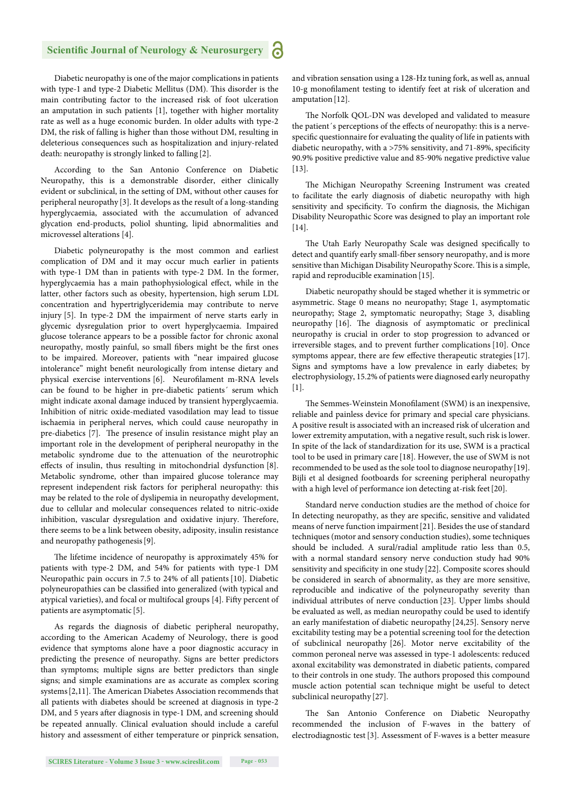Diabetic neuropathy is one of the major complications in patients with type-1 and type-2 Diabetic Mellitus (DM). This disorder is the main contributing factor to the increased risk of foot ulceration an amputation in such patients [1], together with higher mortality rate as well as a huge economic burden. In older adults with type-2 DM, the risk of falling is higher than those without DM, resulting in deleterious consequences such as hospitalization and injury-related death: neuropathy is strongly linked to falling [2].

According to the San Antonio Conference on Diabetic Neuropathy, this is a demonstrable disorder, either clinically evident or subclinical, in the setting of DM, without other causes for peripheral neuropathy [3]. It develops as the result of a long-standing hyperglycaemia, associated with the accumulation of advanced glycation end-products, poliol shunting, lipid abnormalities and microvessel alterations [4].

Diabetic polyneuropathy is the most common and earliest complication of DM and it may occur much earlier in patients with type-1 DM than in patients with type-2 DM. In the former, hyperglycaemia has a main pathophysiological effect, while in the latter, other factors such as obesity, hypertension, high serum LDL concentration and hypertriglyceridemia may contribute to nerve injury [5]. In type-2 DM the impairment of nerve starts early in glycemic dysregulation prior to overt hyperglycaemia. Impaired glucose tolerance appears to be a possible factor for chronic axonal neuropathy, mostly painful, so small fibers might be the first ones to be impaired. Moreover, patients with "near impaired glucose intolerance" might benefit neurologically from intense dietary and physical exercise interventions [6]. Neurofilament m-RNA levels can be found to be higher in pre-diabetic patients´ serum which might indicate axonal damage induced by transient hyperglycaemia. Inhibition of nitric oxide-mediated vasodilation may lead to tissue ischaemia in peripheral nerves, which could cause neuropathy in pre-diabetics [7]. The presence of insulin resistance might play an important role in the development of peripheral neuropathy in the metabolic syndrome due to the attenuation of the neurotrophic effects of insulin, thus resulting in mitochondrial dysfunction [8]. Metabolic syndrome, other than impaired glucose tolerance may represent independent risk factors for peripheral neuropathy: this may be related to the role of dyslipemia in neuropathy development, due to cellular and molecular consequences related to nitric-oxide inhibition, vascular dysregulation and oxidative injury. Therefore, there seems to be a link between obesity, adiposity, insulin resistance and neuropathy pathogenesis[9].

The lifetime incidence of neuropathy is approximately 45% for patients with type-2 DM, and 54% for patients with type-1 DM Neuropathic pain occurs in 7.5 to 24% of all patients [10]. Diabetic polyneuropathies can be classified into generalized (with typical and atypical varieties), and focal or multifocal groups [4]. Fifty percent of patients are asymptomatic [5].

As regards the diagnosis of diabetic peripheral neuropathy, according to the American Academy of Neurology, there is good evidence that symptoms alone have a poor diagnostic accuracy in predicting the presence of neuropathy. Signs are better predictors than symptoms; multiple signs are better predictors than single signs; and simple examinations are as accurate as complex scoring systems [2,11]. The American Diabetes Association recommends that all patients with diabetes should be screened at diagnosis in type-2 DM, and 5 years after diagnosis in type-1 DM, and screening should be repeated annually. Clinical evaluation should include a careful history and assessment of either temperature or pinprick sensation, and vibration sensation using a 128-Hz tuning fork, as well as, annual 10-g monofilament testing to identify feet at risk of ulceration and amputation[12].

The Norfolk QOL-DN was developed and validated to measure the patient's perceptions of the effects of neuropathy: this is a nervespecific questionnaire for evaluating the quality of life in patients with diabetic neuropathy, with a >75% sensitivity, and 71-89%, specificity 90.9% positive predictive value and 85-90% negative predictive value [13].

The Michigan Neuropathy Screening Instrument was created to facilitate the early diagnosis of diabetic neuropathy with high sensitivity and specificity. To confirm the diagnosis, the Michigan Disability Neuropathic Score was designed to play an important role [14].

The Utah Early Neuropathy Scale was designed specifically to detect and quantify early small-fiber sensory neuropathy, and is more sensitive than Michigan Disability Neuropathy Score. This is a simple, rapid and reproducible examination[15].

Diabetic neuropathy should be staged whether it is symmetric or asymmetric. Stage 0 means no neuropathy; Stage 1, asymptomatic neuropathy; Stage 2, symptomatic neuropathy; Stage 3, disabling neuropathy [16]. The diagnosis of asymptomatic or preclinical neuropathy is crucial in order to stop progression to advanced or irreversible stages, and to prevent further complications [10]. Once symptoms appear, there are few effective therapeutic strategies [17]. Signs and symptoms have a low prevalence in early diabetes; by electrophysiology, 15.2% of patients were diagnosed early neuropathy  $[1]$ .

The Semmes-Weinstein Monofilament (SWM) is an inexpensive, reliable and painless device for primary and special care physicians. A positive result is associated with an increased risk of ulceration and lower extremity amputation, with a negative result, such risk is lower. In spite of the lack of standardization for its use, SWM is a practical tool to be used in primary care [18]. However, the use of SWM is not recommended to be used as the sole tool to diagnose neuropathy[19]. Bijli et al designed footboards for screening peripheral neuropathy with a high level of performance ion detecting at-risk feet [20].

Standard nerve conduction studies are the method of choice for In detecting neuropathy, as they are specific, sensitive and validated means of nerve function impairment[21]. Besides the use of standard techniques (motor and sensory conduction studies), some techniques should be included. A sural/radial amplitude ratio less than 0.5, with a normal standard sensory nerve conduction study had 90% sensitivity and specificity in one study [22]. Composite scores should be considered in search of abnormality, as they are more sensitive, reproducible and indicative of the polyneuropathy severity than individual attributes of nerve conduction [23]. Upper limbs should be evaluated as well, as median neuropathy could be used to identify an early manifestation of diabetic neuropathy [24,25]. Sensory nerve excitability testing may be a potential screening tool for the detection of subclinical neuropathy [26]. Motor nerve excitability of the common peroneal nerve was assessed in type-1 adolescents: reduced axonal excitability was demonstrated in diabetic patients, compared to their controls in one study. The authors proposed this compound muscle action potential scan technique might be useful to detect subclinical neuropathy [27].

The San Antonio Conference on Diabetic Neuropathy recommended the inclusion of F-waves in the battery of electrodiagnostic test[3]. Assessment of F-waves is a better measure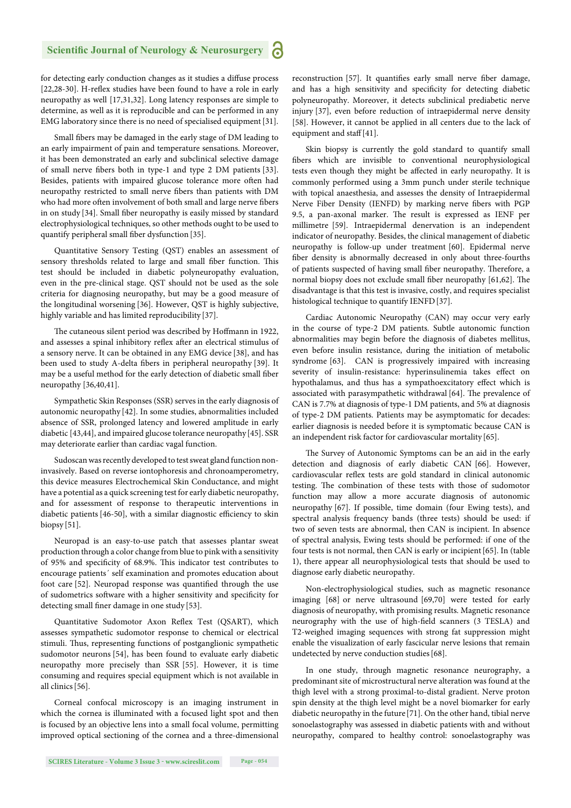for detecting early conduction changes as it studies a diffuse process [22,28-30]. H-reflex studies have been found to have a role in early neuropathy as well [17,31,32]. Long latency responses are simple to determine, as well as it is reproducible and can be performed in any EMG laboratory since there is no need of specialised equipment[31].

Small fibers may be damaged in the early stage of DM leading to an early impairment of pain and temperature sensations. Moreover, it has been demonstrated an early and subclinical selective damage of small nerve fibers both in type-1 and type 2 DM patients [33]. Besides, patients with impaired glucose tolerance more often had neuropathy restricted to small nerve fibers than patients with DM who had more often involvement of both small and large nerve fibers in on study [34]. Small fiber neuropathy is easily missed by standard electrophysiological techniques, so other methods ought to be used to quantify peripheral small fiber dysfunction [35].

Quantitative Sensory Testing (QST) enables an assessment of sensory thresholds related to large and small fiber function. This test should be included in diabetic polyneuropathy evaluation, even in the pre-clinical stage. QST should not be used as the sole criteria for diagnosing neuropathy, but may be a good measure of the longitudinal worsening [36]. However, QST is highly subjective, highly variable and has limited reproducibility [37].

The cutaneous silent period was described by Hoffmann in 1922, and assesses a spinal inhibitory reflex after an electrical stimulus of a sensory nerve. It can be obtained in any EMG device [38], and has been used to study A-delta fibers in peripheral neuropathy [39]. It may be a useful method for the early detection of diabetic small fiber neuropathy [36,40,41].

Sympathetic Skin Responses (SSR) serves in the early diagnosis of autonomic neuropathy [42]. In some studies, abnormalities included absence of SSR, prolonged latency and lowered amplitude in early diabetic [43,44], and impaired glucose tolerance neuropathy[45]. SSR may deteriorate earlier than cardiac vagal function.

Sudoscan was recently developed to test sweat gland function noninvasively. Based on reverse iontophoresis and chronoamperometry, this device measures Electrochemical Skin Conductance, and might have a potential as a quick screening test for early diabetic neuropathy, and for assessment of response to therapeutic interventions in diabetic patients  $[46-50]$ , with a similar diagnostic efficiency to skin biopsy [51].

Neuropad is an easy-to-use patch that assesses plantar sweat production through a color change from blue to pink with a sensitivity of 95% and specificity of 68.9%. This indicator test contributes to encourage patients´ self examination and promotes education about foot care [52]. Neuropad response was quantified through the use of sudometrics software with a higher sensitivity and specificity for detecting small finer damage in one study [53].

Quantitative Sudomotor Axon Reflex Test (QSART), which assesses sympathetic sudomotor response to chemical or electrical stimuli. Thus, representing functions of postganglionic sympathetic sudomotor neurons [54], has been found to evaluate early diabetic neuropathy more precisely than SSR [55]. However, it is time consuming and requires special equipment which is not available in all clinics[56].

Corneal confocal microscopy is an imaging instrument in which the cornea is illuminated with a focused light spot and then is focused by an objective lens into a small focal volume, permitting improved optical sectioning of the cornea and a three-dimensional reconstruction [57]. It quantifies early small nerve fiber damage, and has a high sensitivity and specificity for detecting diabetic polyneuropathy. Moreover, it detects subclinical prediabetic nerve injury [37], even before reduction of intraepidermal nerve density [58]. However, it cannot be applied in all centers due to the lack of equipment and staff [41].

Skin biopsy is currently the gold standard to quantify small fibers which are invisible to conventional neurophysiological tests even though they might be affected in early neuropathy. It is commonly performed using a 3mm punch under sterile technique with topical anaesthesia, and assesses the density of Intraepidermal Nerve Fiber Density (IENFD) by marking nerve fibers with PGP 9.5, a pan-axonal marker. The result is expressed as IENF per millimetre [59]. Intraepidermal denervation is an independent indicator of neuropathy. Besides, the clinical management of diabetic neuropathy is follow-up under treatment [60]. Epidermal nerve fiber density is abnormally decreased in only about three-fourths of patients suspected of having small fiber neuropathy. Therefore, a normal biopsy does not exclude small fiber neuropathy [61,62]. The disadvantage is that this test is invasive, costly, and requires specialist histological technique to quantify IENFD[37].

Cardiac Autonomic Neuropathy (CAN) may occur very early in the course of type-2 DM patients. Subtle autonomic function abnormalities may begin before the diagnosis of diabetes mellitus, even before insulin resistance, during the initiation of metabolic syndrome [63]. CAN is progressively impaired with increasing severity of insulin-resistance: hyperinsulinemia takes effect on hypothalamus, and thus has a sympathoexcitatory effect which is associated with parasympathetic withdrawal [64]. The prevalence of CAN is 7.7% at diagnosis of type-1 DM patients, and 5% at diagnosis of type-2 DM patients. Patients may be asymptomatic for decades: earlier diagnosis is needed before it is symptomatic because CAN is an independent risk factor for cardiovascular mortality [65].

The Survey of Autonomic Symptoms can be an aid in the early detection and diagnosis of early diabetic CAN [66]. However, cardiovascular reflex tests are gold standard in clinical autonomic testing. The combination of these tests with those of sudomotor function may allow a more accurate diagnosis of autonomic neuropathy [67]. If possible, time domain (four Ewing tests), and spectral analysis frequency bands (three tests) should be used: if two of seven tests are abnormal, then CAN is incipient. In absence of spectral analysis, Ewing tests should be performed: if one of the four tests is not normal, then CAN is early or incipient[65]. In (table 1), there appear all neurophysiological tests that should be used to diagnose early diabetic neuropathy.

Non-electrophysiological studies, such as magnetic resonance imaging [68] or nerve ultrasound [69,70] were tested for early diagnosis of neuropathy, with promising results. Magnetic resonance neurography with the use of high-field scanners (3 TESLA) and T2-weighed imaging sequences with strong fat suppression might enable the visualization of early fascicular nerve lesions that remain undetected by nerve conduction studies[68].

In one study, through magnetic resonance neurography, a predominant site of microstructural nerve alteration was found at the thigh level with a strong proximal-to-distal gradient. Nerve proton spin density at the thigh level might be a novel biomarker for early diabetic neuropathy in the future [71]. On the other hand, tibial nerve sonoelastography was assessed in diabetic patients with and without neuropathy, compared to healthy control: sonoelastography was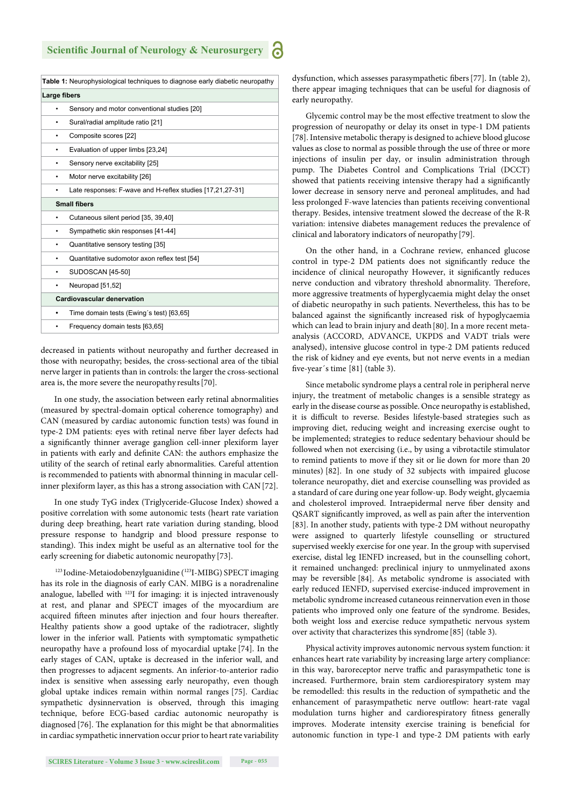|                                   | Table 1: Neurophysiological techniques to diagnose early diabetic neuropathy |
|-----------------------------------|------------------------------------------------------------------------------|
| Large fibers                      |                                                                              |
|                                   | Sensory and motor conventional studies [20]                                  |
|                                   | Sural/radial amplitude ratio [21]                                            |
|                                   | Composite scores [22]                                                        |
|                                   | Evaluation of upper limbs [23,24]                                            |
|                                   | Sensory nerve excitability [25]                                              |
|                                   | Motor nerve excitability [26]                                                |
|                                   | Late responses: F-wave and H-reflex studies [17,21,27-31]                    |
| <b>Small fibers</b>               |                                                                              |
|                                   | Cutaneous silent period [35, 39,40]                                          |
| ٠                                 | Sympathetic skin responses [41-44]                                           |
| ٠                                 | Quantitative sensory testing [35]                                            |
| ٠                                 | Quantitative sudomotor axon reflex test [54]                                 |
|                                   | SUDOSCAN [45-50]                                                             |
|                                   | Neuropad [51,52]                                                             |
| <b>Cardiovascular denervation</b> |                                                                              |
|                                   | Time domain tests (Ewing's test) [63,65]                                     |
|                                   | Frequency domain tests [63,65]                                               |
|                                   |                                                                              |

decreased in patients without neuropathy and further decreased in those with neuropathy; besides, the cross-sectional area of the tibial nerve larger in patients than in controls: the larger the cross-sectional area is, the more severe the neuropathy results[70].

In one study, the association between early retinal abnormalities (measured by spectral-domain optical coherence tomography) and CAN (measured by cardiac autonomic function tests) was found in type-2 DM patients: eyes with retinal nerve fiber layer defects had a significantly thinner average ganglion cell-inner plexiform layer in patients with early and definite CAN: the authors emphasize the utility of the search of retinal early abnormalities. Careful attention is recommended to patients with abnormal thinning in macular cellinner plexiform layer, as this has a strong association with CAN[72].

In one study TyG index (Triglyceride-Glucose Index) showed a positive correlation with some autonomic tests (heart rate variation during deep breathing, heart rate variation during standing, blood pressure response to handgrip and blood pressure response to standing). This index might be useful as an alternative tool for the early screening for diabetic autonomic neuropathy [73].

<sup>123</sup> Iodine-Metaiodobenzylguanidine (<sup>123</sup>I-MIBG) SPECT imaging has its role in the diagnosis of early CAN. MIBG is a noradrenaline analogue, labelled with 123I for imaging: it is injected intravenously at rest, and planar and SPECT images of the myocardium are acquired fifteen minutes after injection and four hours thereafter. Healthy patients show a good uptake of the radiotracer, slightly lower in the inferior wall. Patients with symptomatic sympathetic neuropathy have a profound loss of myocardial uptake [74]. In the early stages of CAN, uptake is decreased in the inferior wall, and then progresses to adjacent segments. An inferior-to-anterior radio index is sensitive when assessing early neuropathy, even though global uptake indices remain within normal ranges [75]. Cardiac sympathetic dysinnervation is observed, through this imaging technique, before ECG-based cardiac autonomic neuropathy is diagnosed [76]. The explanation for this might be that abnormalities in cardiac sympathetic innervation occur prior to heart rate variability dysfunction, which assesses parasympathetic fibers [77]. In (table 2), there appear imaging techniques that can be useful for diagnosis of early neuropathy.

Glycemic control may be the most effective treatment to slow the progression of neuropathy or delay its onset in type-1 DM patients [78]. Intensive metabolic therapy is designed to achieve blood glucose values as close to normal as possible through the use of three or more injections of insulin per day, or insulin administration through pump. The Diabetes Control and Complications Trial (DCCT) showed that patients receiving intensive therapy had a significantly lower decrease in sensory nerve and peroneal amplitudes, and had less prolonged F-wave latencies than patients receiving conventional therapy. Besides, intensive treatment slowed the decrease of the R-R variation: intensive diabetes management reduces the prevalence of clinical and laboratory indicators of neuropathy [79].

On the other hand, in a Cochrane review, enhanced glucose control in type-2 DM patients does not significantly reduce the incidence of clinical neuropathy However, it significantly reduces nerve conduction and vibratory threshold abnormality. Therefore, more aggressive treatments of hyperglycaemia might delay the onset of diabetic neuropathy in such patients. Nevertheless, this has to be balanced against the significantly increased risk of hypoglycaemia which can lead to brain injury and death [80]. In a more recent metaanalysis (ACCORD, ADVANCE, UKPDS and VADT trials were analysed), intensive glucose control in type-2 DM patients reduced the risk of kidney and eye events, but not nerve events in a median five-year's time [81] (table 3).

Since metabolic syndrome plays a central role in peripheral nerve injury, the treatment of metabolic changes is a sensible strategy as early in the disease course as possible. Once neuropathy is established, it is difficult to reverse. Besides lifestyle-based strategies such as improving diet, reducing weight and increasing exercise ought to be implemented; strategies to reduce sedentary behaviour should be followed when not exercising (i.e., by using a vibrotactile stimulator to remind patients to move if they sit or lie down for more than 20 minutes) [82]. In one study of 32 subjects with impaired glucose tolerance neuropathy, diet and exercise counselling was provided as a standard of care during one year follow-up. Body weight, glycaemia and cholesterol improved. Intraepidermal nerve fiber density and QSART significantly improved, as well as pain after the intervention [83]. In another study, patients with type-2 DM without neuropathy were assigned to quarterly lifestyle counselling or structured supervised weekly exercise for one year. In the group with supervised exercise, distal leg IENFD increased, but in the counselling cohort, it remained unchanged: preclinical injury to unmyelinated axons may be reversible [84]. As metabolic syndrome is associated with early reduced IENFD, supervised exercise-induced improvement in metabolic syndrome increased cutaneous reinnervation even in those patients who improved only one feature of the syndrome. Besides, both weight loss and exercise reduce sympathetic nervous system over activity that characterizes this syndrome [85] (table 3).

Physical activity improves autonomic nervous system function: it enhances heart rate variability by increasing large artery compliance: in this way, baroreceptor nerve traffic and parasympathetic tone is increased. Furthermore, brain stem cardiorespiratory system may be remodelled: this results in the reduction of sympathetic and the enhancement of parasympathetic nerve outflow: heart-rate vagal modulation turns higher and cardiorespiratory fitness generally improves. Moderate intensity exercise training is beneficial for autonomic function in type-1 and type-2 DM patients with early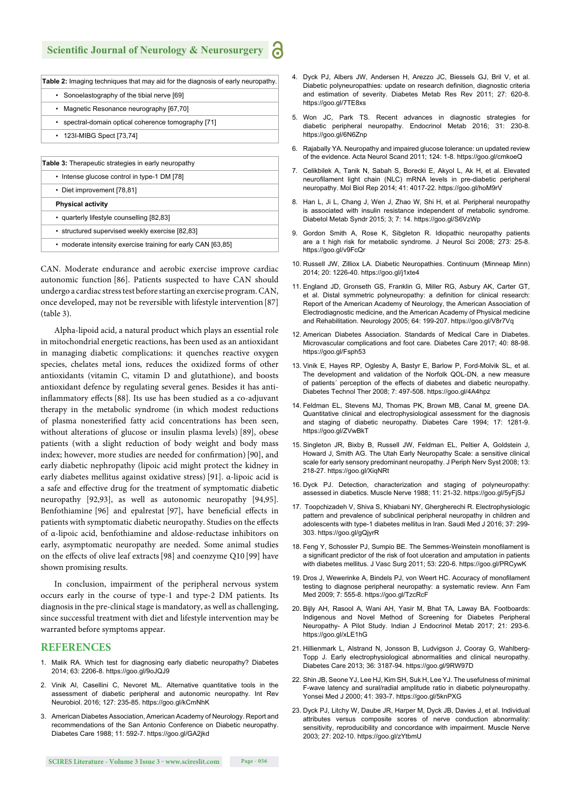| <b>Table 2:</b> Imaging techniques that may aid for the diagnosis of early neuropathy. |  |
|----------------------------------------------------------------------------------------|--|
| • Sonoelastography of the tibial nerve [69]                                            |  |
| Magnetic Resonance neurography [67,70]                                                 |  |
| • spectral-domain optical coherence tomography [71]                                    |  |
| • 123I-MIBG Spect [73,74]                                                              |  |
|                                                                                        |  |
| <b>Table 3:</b> Therapeutic strategies in early neuropathy                             |  |
| • Intense glucose control in type-1 DM [78]                                            |  |
| • Diet improvement [78,81]                                                             |  |
| <b>Physical activity</b>                                                               |  |
| · quarterly lifestyle counselling [82,83]                                              |  |

• structured supervised weekly exercise [82,83]

• moderate intensity exercise training for early CAN [63,85]

CAN. Moderate endurance and aerobic exercise improve cardiac autonomic function [86]. Patients suspected to have CAN should undergo a cardiac stress test before starting an exercise program. CAN, once developed, may not be reversible with lifestyle intervention[87] (table 3).

Alpha-lipoid acid, a natural product which plays an essential role in mitochondrial energetic reactions, has been used as an antioxidant in managing diabetic complications: it quenches reactive oxygen species, chelates metal ions, reduces the oxidized forms of other antioxidants (vitamin C, vitamin D and glutathione), and boosts antioxidant defence by regulating several genes. Besides it has antiinflammatory effects [88]. Its use has been studied as a co-adjuvant therapy in the metabolic syndrome (in which modest reductions of plasma nonesterified fatty acid concentrations has been seen, without alterations of glucose or insulin plasma levels) [89], obese patients (with a slight reduction of body weight and body mass index; however, more studies are needed for confirmation) [90], and early diabetic nephropathy (lipoic acid might protect the kidney in early diabetes mellitus against oxidative stress) [91]. α-lipoic acid is a safe and effective drug for the treatment of symptomatic diabetic neuropathy [92,93], as well as autonomic neuropathy [94,95]. Benfothiamine [96] and epalrestat [97], have beneficial effects in patients with symptomatic diabetic neuropathy. Studies on the effects of α-lipoic acid, benfothiamine and aldose-reductase inhibitors on early, asymptomatic neuropathy are needed. Some animal studies on the effects of olive leaf extracts [98] and coenzyme Q10 [99] have shown promising results.

In conclusion, impairment of the peripheral nervous system occurs early in the course of type-1 and type-2 DM patients. Its diagnosis in the pre-clinical stage is mandatory, as well as challenging, since successful treatment with diet and lifestyle intervention may be warranted before symptoms appear.

#### **REFERENCES**

- 1. Malik RA. Which test for diagnosing early diabetic neuropathy? Diabetes 2014; 63: 2206-8. https://goo.gl/9oJQJ9
- 2. Vinik AI, Casellini C, Nevoret ML. Alternative quantitative tools in the assessment of diabetic peripheral and autonomic neuropathy. Int Rev Neurobiol. 2016; 127: 235-85. https://goo.gl/kCmNhK
- 3. American Diabetes Association, American Academy of Neurology. Report and recommendations of the San Antonio Conference on Diabetic neuropathy. Diabetes Care 1988; 11: 592-7. https://goo.gl/GA2jkd
- 4. Dyck PJ, Albers JW, Andersen H, Arezzo JC, Biessels GJ, Bril V, et al. Diabetic polyneuropathies: update on research definition, diagnostic criteria and estimation of severity. Diabetes Metab Res Rev 2011; 27: 620-8. https://goo.gl/7TE8xs
- 5. Won JC, Park TS. Recent advances in diagnostic strategies for diabetic peripheral neuropathy. Endocrinol Metab 2016; 31: 230-8. https://goo.gl/6N6Znp
- 6. Rajabally YA. Neuropathy and impaired glucose tolerance: un updated review of the evidence. Acta Neurol Scand 2011; 124: 1-8. https://goo.gl/cmkoeQ
- 7. Celikbilek A, Tanik N, Sabah S, Borecki E, Akyol L, Ak H, et al. Elevated neurofilament light chain (NLC) mRNA levels in pre-diabetic peripheral neuropathy. Mol Biol Rep 2014; 41: 4017-22. https://goo.gl/hoM9rV
- 8. Han L, Ji L, Chang J, Wen J, Zhao W, Shi H, et al. Peripheral neuropathy is associated with insulin resistance independent of metabolic syndrome. Diabetol Metab Syndr 2015; 3; 7: 14. https://goo.gl/S6VzWp
- 9. Gordon Smith A, Rose K, Sibgleton R. Idiopathic neuropathy patients are a t high risk for metabolic syndrome. J Neurol Sci 2008; 273: 25-8. https://goo.gl/v9FcQr
- 10. Russell JW, Zilliox LA. Diabetic Neuropathies. Continuum (Minneap Minn) 2014; 20: 1226-40. https://goo.gl/j1xte4
- 11. England JD, Gronseth GS, Franklin G, Miller RG, Asbury AK, Carter GT, et al. Distal symmetric polyneuropathy: a definition for clinical research: Report of the American Academy of Neurology, the American Association of Electrodiagnostic medicine, and the American Academy of Physical medicine and Rehabilitation. Neurology 2005; 64: 199-207. https://goo.gl/V8r7Vq
- 12. American Diabetes Association. Standards of Medical Care in Diabetes. Microvascular complications and foot care. Diabetes Care 2017; 40: 88-98. https://goo.gl/Fsph53
- 13. Vinik E, Hayes RP, Oglesby A, Bastyr E, Barlow P, Ford-Molvik SL, et al. The development and validation of the Norfolk QOL-DN, a new measure of patients´ perception of the effects of diabetes and diabetic neuropathy. Diabetes Technol Ther 2008; 7: 497-508. https://goo.gl/4A4hpz
- 14. Feldman EL, Stevens MJ, Thomas PK, Brown MB, Canal M, greene DA. Quantitative clinical and electrophysiological assessment for the diagnosis and staging of diabetic neuropathy. Diabetes Care 1994; 17: 1281-9. https://goo.gl/ZVwBkT
- 15. Singleton JR, Bixby B, Russell JW, Feldman EL, Peltier A, Goldstein J, Howard J, Smith AG. The Utah Early Neuropathy Scale: a sensitive clinical scale for early sensory predominant neuropathy. J Periph Nerv Syst 2008; 13: 218-27. https://goo.gl/XiqNRt
- 16. Dyck PJ. Detection, characterization and staging of polyneuropathy: assessed in diabetics. Muscle Nerve 1988; 11: 21-32. https://goo.gl/5yFjSJ
- 17. Toopchizadeh V, Shiva S, Khiabani NY, Ghergherechi R. Electrophysiologic pattern and prevalence of subclinical peripheral neuropathy in children and adolescents with type-1 diabetes mellitus in Iran. Saudi Med J 2016; 37: 299- 303. https://goo.gl/gQjyrR
- 18. Feng Y, Schossler PJ, Sumpio BE. The Semmes-Weinstein monofilament is a significant predictor of the risk of foot ulceration and amputation in patients with diabetes mellitus. J Vasc Surg 2011; 53: 220-6. https://goo.gl/PRCywK
- 19. Dros J, Wewerinke A, Bindels PJ, von Weert HC. Accuracy of monofilament testing to diagnose peripheral neuropathy: a systematic review. Ann Fam Med 2009; 7: 555-8. https://goo.gl/TzcRcF
- 20. Bijly AH, Rasool A, Wani AH, Yasir M, Bhat TA, Laway BA. Footboards: Indigenous and Novel Method of Screening for Diabetes Peripheral Neuropathy- A Pilot Study. Indian J Endocrinol Metab 2017; 21: 293-6. https://goo.gl/xLE1hG
- 21. Hillienmark L, Alstrand N, Jonsson B, Ludvigson J, Cooray G, Wahlberg-Topp J. Early electrophysiological abnormalities and clinical neuropathy. Diabetes Care 2013; 36: 3187-94. https://goo.gl/9RW97D
- 22. Shin JB, Seone YJ, Lee HJ, Kim SH, Suk H, Lee YJ. The usefulness of minimal F-wave latency and sural/radial amplitude ratio in diabetic polyneuropathy. Yonsei Med J 2000; 41: 393-7. https://goo.gl/5knPXG
- 23. Dyck PJ, Litchy W, Daube JR, Harper M, Dyck JB, Davies J, et al. Individual attributes versus composite scores of nerve conduction abnormality: sensitivity, reproducibility and concordance with impairment. Muscle Nerve 2003; 27: 202-10. https://goo.gl/zYtbmU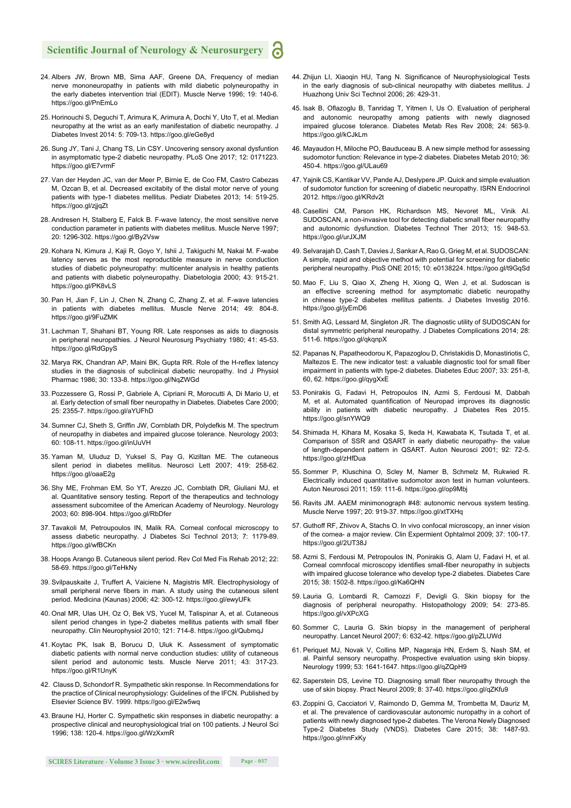- 24. Albers JW, Brown MB, Sima AAF, Greene DA, Frequency of median nerve mononeuropathy in patients with mild diabetic polyneuropathy in the early diabetes intervention trial (EDIT). Muscle Nerve 1996; 19: 140-6. https://goo.gl/PnEmLo
- 25. Horinouchi S, Deguchi T, Arimura K, Arimura A, Dochi Y, Uto T, et al. Median neuropathy at the wrist as an early manifestation of diabetic neuropathy. J Diabetes Invest 2014: 5: 709-13. https://goo.gl/eGe8yd
- 26. Sung JY, Tani J, Chang TS, Lin CSY. Uncovering sensory axonal dysfuntion in asymptomatic type-2 diabetic neuropathy. PLoS One 2017; 12: 0171223. https://goo.gl/E7vrmF
- 27. Van der Heyden JC, van der Meer P, Birnie E, de Coo FM, Castro Cabezas M, Ozcan B, et al. Decreased excitabity of the distal motor nerve of young patients with type-1 diabetes mellitus. Pediatr Diabetes 2013; 14: 519-25. https://goo.gl/zjjqZt
- 28. Andresen H, Stalberg E, Falck B. F-wave latency, the most sensitive nerve conduction parameter in patients with diabetes mellitus. Muscle Nerve 1997; 20: 1296-302. https://goo.gl/By2Vsw
- 29. Kohara N, Kimura J, Kaji R, Goyo Y, Ishii J, Takiguchi M, Nakai M. F-wabe latency serves as the most reproductible measure in nerve conduction studies of diabetic polyneuropathy: multicenter analysis in healthy patients and patients with diabetic polyneuropathy. Diabetologia 2000; 43: 915-21. https://goo.gl/PK8vLS
- 30. Pan H, Jian F, Lin J, Chen N, Zhang C, Zhang Z, et al. F-wave latencies in patients with diabetes mellitus. Muscle Nerve 2014; 49: 804-8. https://goo.gl/9FuZMK
- 31. Lachman T, Shahani BT, Young RR. Late responses as aids to diagnosis in peripheral neuropathies. J Neurol Neurosurg Psychiatry 1980; 41: 45-53. https://goo.gl/RdGpyS
- 32. Marya RK, Chandran AP, Maini BK, Gupta RR. Role of the H-reflex latency studies in the diagnosis of subclinical diabetic neuropathy. Ind J Physiol Pharmac 1986; 30: 133-8. https://goo.gl/NqZWGd
- 33. Pozzessere G, Rossi P, Gabriele A, Cipriani R, Morocutti A, Di Mario U, et al. Early detection of small fiber neuropathy in Diabetes. Diabetes Care 2000; 25: 2355-7. https://goo.gl/aYUFhD
- 34. Sumner CJ, Sheth S, Griffin JW, Cornblath DR, Polydefkis M. The spectrum of neuropathy in diabetes and impaired glucose tolerance. Neurology 2003; 60: 108-11. https://goo.gl/inUuVH
- 35. Yaman M, Uluduz D, Yuksel S, Pay G, Kiziltan ME. The cutaneous silent period in diabetes mellitus. Neurosci Lett 2007; 419: 258-62. https://goo.gl/oaaE2g
- 36. Shy ME, Frohman EM, So YT, Arezzo JC, Cornblath DR, Giuliani MJ, et al. Quantitative sensory testing. Report of the therapeutics and technology assessment subcomitee of the American Academy of Neurology. Neurology 2003; 60: 898-904. https://goo.gl/RbDfer
- 37. Tavakoli M, Petroupoulos IN, Malik RA. Corneal confocal microscopy to assess diabetic neuropathy. J Diabetes Sci Technol 2013; 7: 1179-89. https://goo.gl/wfBCKn
- 38. Hoops Arango B. Cutaneous silent period. Rev Col Med Fis Rehab 2012; 22: 58-69. https://goo.gl/TeHkNy
- 39. Svilpauskaite J, Truffert A, Vaiciene N, Magistris MR. Electrophysiology of small peripheral nerve fibers in man. A study using the cutaneous silent period. Medicina (Kaunas) 2006; 42: 300-12. https://goo.gl/ewyUFk
- 40. Onal MR, Ulas UH, Oz O, Bek VS, Yucel M, Talispinar A, et al. Cutaneous silent period changes in type-2 diabetes mellitus patients with small fiber neuropathy. Clin Neurophysiol 2010; 121: 714-8. https://goo.gl/QubmqJ
- 41. Koytac PK, Isak B, Borucu D, Uluk K. Assessment of symptomatic diabetic patients with normal nerve conduction studies: utility of cutaneous silent period and autonomic tests. Muscle Nerve 2011; 43: 317-23. https://goo.gl/R1UnyK
- 42. Clauss D, Schondorf R. Sympathetic skin response. In Recommendations for the practice of Clinical neurophysiology: Guidelines of the IFCN. Published by Elsevier Science BV. 1999. https://goo.gl/E2w5wq
- 43. Braune HJ, Horter C. Sympathetic skin responses in diabetic neuropathy: a prospective clinical and neurophysiological trial on 100 patients. J Neurol Sci 1996; 138: 120-4. https://goo.gl/WzXxmR
- 44. Zhijun LI, Xiaoqin HU, Tang N. Significance of Neurophysiological Tests in the early diagnosis of sub-clinical neuropathy with diabetes mellitus. J Huazhong Univ Sci Technol 2006; 26: 429-31.
- 45. Isak B, Oflazoglu B, Tanridag T, Yitmen I, Us O. Evaluation of peripheral and autonomic neuropathy among patients with newly diagnosed impaired glucose tolerance. Diabetes Metab Res Rev 2008; 24: 563-9. https://goo.gl/kCJkLm
- 46. Mayaudon H, Miloche PO, Bauduceau B. A new simple method for assessing sudomotor function: Relevance in type-2 diabetes. Diabetes Metab 2010; 36: 450-4. https://goo.gl/ULau69
- 47. Yajnik CS, Kantikar VV, Pande AJ, Deslypere JP. Quick and simple evaluation of sudomotor function for screening of diabetic neuropathy. ISRN Endocrinol 2012. https://goo.gl/KRdv2t
- 48. Casellini CM, Parson HK, Richardson MS, Nevoret ML, Vinik AI. SUDOSCAN, a non-invasive tool for detecting diabetic small fiber neuropathy and autonomic dysfunction. Diabetes Technol Ther 2013; 15: 948-53. https://goo.gl/urJXJM
- 49. Selvarajah D, Cash T, Davies J, Sankar A, Rao G, Grieg M, et al. SUDOSCAN: A simple, rapid and objective method with potential for screening for diabetic peripheral neuropathy. PloS ONE 2015; 10: e0138224. https://goo.gl/t9GqSd
- 50. Mao F, Liu S, Qiao X, Zheng H, Xiong Q, Wen J, et al. Sudoscan is an effective screening method for asymptomatic diabetic neuropathy in chinese type-2 diabetes mellitus patients. J Diabetes Investig 2016. https://goo.gl/jyEmD6
- 51. Smith AG, Lessard M, Singleton JR. The diagnostic utility of SUDOSCAN for distal symmetric peripheral neuropathy. J Diabetes Complications 2014; 28: 511-6. https://goo.gl/qkqnpX
- 52. Papanas N, Papatheodorou K, Papazoglou D, Christakidis D, Monastiriotis C, Maltezos  $F$ . The new indicator test: a valuable diagnostic tool for small fiber impairment in patients with type-2 diabetes. Diabetes Educ 2007; 33: 251-8, 60, 62. https://goo.gl/qygXxE
- 53. Ponirakis G, Fadavi H, Petropoulos IN, Azmi S, Ferdousi M, Dabbah M, et al. Automated quantification of Neuropad improves its diagnostic ability in patients with diabetic neuropathy. J Diabetes Res 2015. https://goo.gl/snYWQ9
- 54. Shimada H, Kihara M, Kosaka S, Ikeda H, Kawabata K, Tsutada T, et al. Comparison of SSR and QSART in early diabetic neuropathy- the value of length-dependent pattern in QSART. Auton Neurosci 2001; 92: 72-5. https://goo.gl/zHfDua
- 55. Sommer P, Kluschina O, Scley M, Namer B, Schmelz M, Rukwied R. Electrically induced quantitative sudomotor axon test in human volunteers. Auton Neurosci 2011; 159: 111-6. https://goo.gl/op9Mbj
- 56. Ravits JM. AAEM minimonograph #48: autonomic nervous system testing. Muscle Nerve 1997; 20: 919-37. https://goo.gl/xtTXHq
- 57. Guthoff RF, Zhivov A, Stachs O. In vivo confocal microscopy, an inner vision of the cornea- a major review. Clin Expermient Ophtalmol 2009; 37: 100-17. https://goo.gl/2UT38J
- 58. Azmi S, Ferdousi M, Petropoulos IN, Ponirakis G, Alam U, Fadavi H, et al. Corneal comnfocal microscopy identifies small-fiber neuropathy in subjects with impaired glucose tolerance who develop type-2 diabetes. Diabetes Care 2015; 38: 1502-8. https://goo.gl/Ka6QHN
- 59. Lauria G, Lombardi R, Camozzi F, Devigli G. Skin biopsy for the diagnosis of peripheral neuropathy. Histopathology 2009; 54: 273-85. https://goo.gl/vXPcXG
- 60. Sommer C, Lauria G. Skin biopsy in the management of peripheral neuropathy. Lancet Neurol 2007; 6: 632-42. https://goo.gl/pZLUWd
- 61. Periquet MJ, Novak V, Collins MP, Nagaraja HN, Erdem S, Nash SM, et al. Painful sensory neuropathy. Prospective evaluation using skin biopsy. Neurology 1999; 53: 1641-1647. https://goo.gl/qZQpH9
- 62. Saperstein DS, Levine TD. Diagnosing small fiber neuropathy through the use of skin biopsy. Pract Neurol 2009; 8: 37-40. https://goo.gl/qZKfu9
- 63. Zoppini G, Cacciatori V, Raimondo D, Gemma M, Trombetta M, Dauriz M, et al. The prevalence of cardiovascular autonomic nuropathy in a cohort of patients with newly diagnosed type-2 diabetes. The Verona Newly Diagnosed Type-2 Diabetes Study (VNDS). Diabetes Care 2015; 38: 1487-93. https://goo.gl/nnFxKy